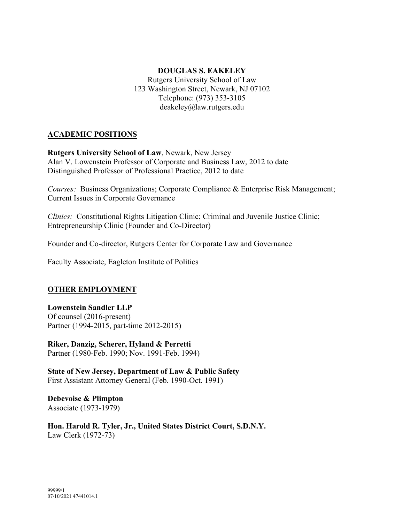# **DOUGLAS S. EAKELEY**

Rutgers University School of Law 123 Washington Street, Newark, NJ 07102 Telephone: (973) 353-3105 deakeley@law.rutgers.edu

## **ACADEMIC POSITIONS**

**Rutgers University School of Law**, Newark, New Jersey Alan V. Lowenstein Professor of Corporate and Business Law, 2012 to date Distinguished Professor of Professional Practice, 2012 to date

*Courses:* Business Organizations; Corporate Compliance & Enterprise Risk Management; Current Issues in Corporate Governance

*Clinics:* Constitutional Rights Litigation Clinic; Criminal and Juvenile Justice Clinic; Entrepreneurship Clinic (Founder and Co-Director)

Founder and Co-director, Rutgers Center for Corporate Law and Governance

Faculty Associate, Eagleton Institute of Politics

#### **OTHER EMPLOYMENT**

#### **Lowenstein Sandler LLP**

Of counsel (2016-present) Partner (1994-2015, part-time 2012-2015)

**Riker, Danzig, Scherer, Hyland & Perretti** Partner (1980-Feb. 1990; Nov. 1991-Feb. 1994)

**State of New Jersey, Department of Law & Public Safety** First Assistant Attorney General (Feb. 1990-Oct. 1991)

**Debevoise & Plimpton** Associate (1973-1979)

**Hon. Harold R. Tyler, Jr., United States District Court, S.D.N.Y.** Law Clerk (1972-73)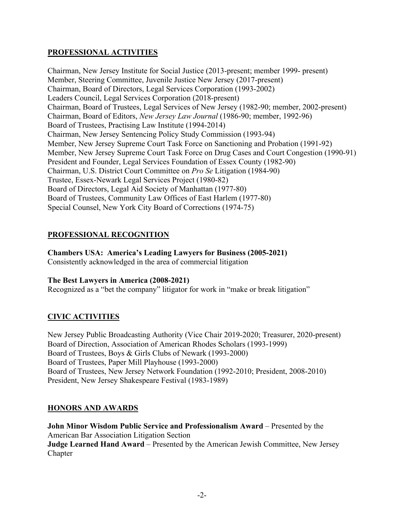## **PROFESSIONAL ACTIVITIES**

Chairman, New Jersey Institute for Social Justice (2013-present; member 1999- present) Member, Steering Committee, Juvenile Justice New Jersey (2017-present) Chairman, Board of Directors, Legal Services Corporation (1993-2002) Leaders Council, Legal Services Corporation (2018-present) Chairman, Board of Trustees, Legal Services of New Jersey (1982-90; member, 2002-present) Chairman, Board of Editors, *New Jersey Law Journal* (1986-90; member, 1992-96) Board of Trustees, Practising Law Institute (1994-2014) Chairman, New Jersey Sentencing Policy Study Commission (1993-94) Member, New Jersey Supreme Court Task Force on Sanctioning and Probation (1991-92) Member, New Jersey Supreme Court Task Force on Drug Cases and Court Congestion (1990-91) President and Founder, Legal Services Foundation of Essex County (1982-90) Chairman, U.S. District Court Committee on *Pro Se* Litigation (1984-90) Trustee, Essex-Newark Legal Services Project (1980-82) Board of Directors, Legal Aid Society of Manhattan (1977-80) Board of Trustees, Community Law Offices of East Harlem (1977-80) Special Counsel, New York City Board of Corrections (1974-75)

## **PROFESSIONAL RECOGNITION**

#### **Chambers USA: America's Leading Lawyers for Business (2005-2021)**

Consistently acknowledged in the area of commercial litigation

#### **The Best Lawyers in America (2008-2021)**

Recognized as a "bet the company" litigator for work in "make or break litigation"

#### **CIVIC ACTIVITIES**

New Jersey Public Broadcasting Authority (Vice Chair 2019-2020; Treasurer, 2020-present) Board of Direction, Association of American Rhodes Scholars (1993-1999) Board of Trustees, Boys & Girls Clubs of Newark (1993-2000) Board of Trustees, Paper Mill Playhouse (1993-2000) Board of Trustees, New Jersey Network Foundation (1992-2010; President, 2008-2010) President, New Jersey Shakespeare Festival (1983-1989)

#### **HONORS AND AWARDS**

**John Minor Wisdom Public Service and Professionalism Award** – Presented by the American Bar Association Litigation Section **Judge Learned Hand Award** – Presented by the American Jewish Committee, New Jersey Chapter